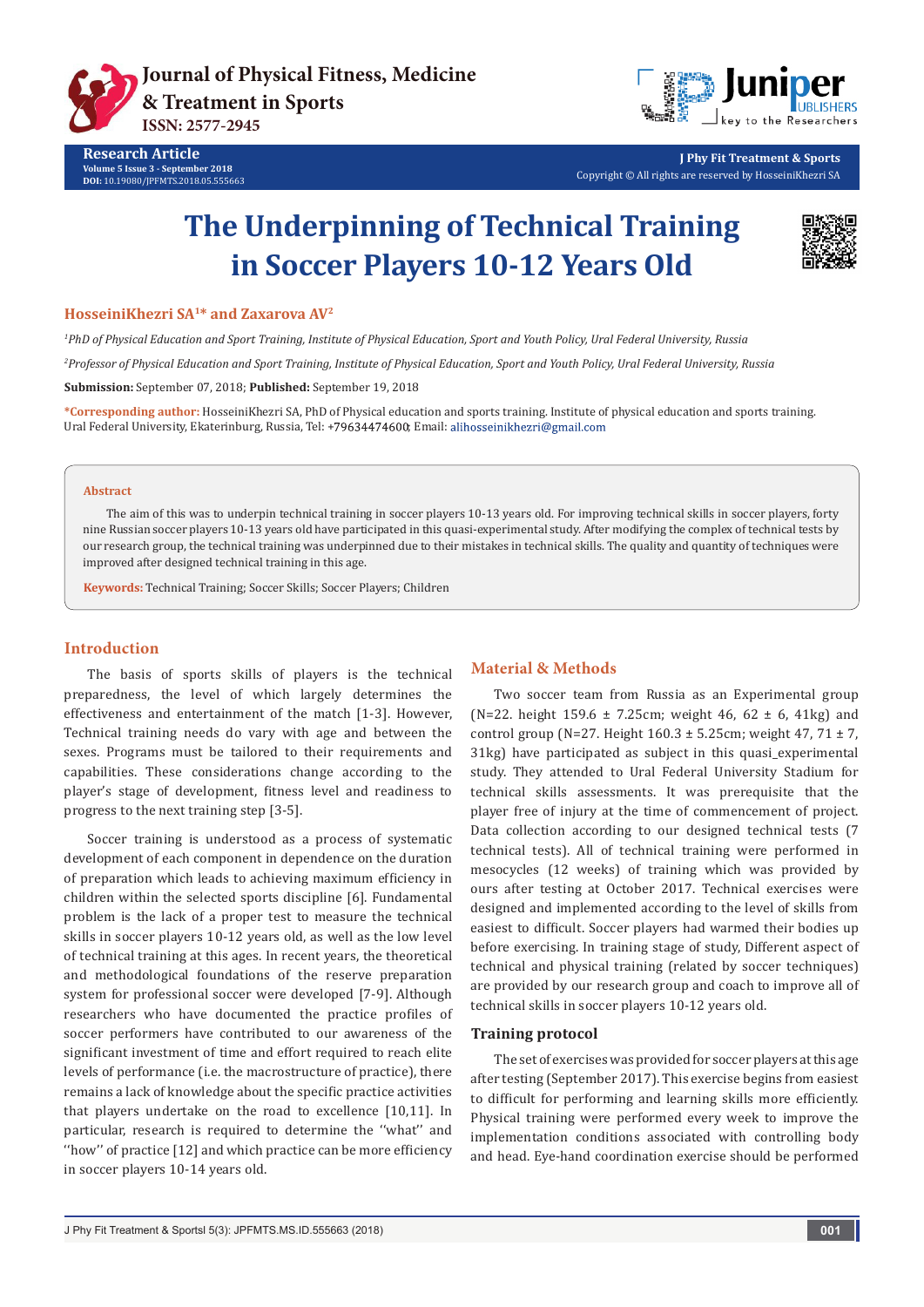





**J Phy Fit Treatment & Sports** Copyright © All rights are reserved by HosseiniKhezri SA

# **The Underpinning of Technical Training in Soccer Players 10-12 Years Old**



#### **HosseiniKhezri SA1\* and Zaxarova AV2**

*1 PhD of Physical Education and Sport Training, Institute of Physical Education, Sport and Youth Policy, Ural Federal University, Russia 2 Professor of Physical Education and Sport Training, Institute of Physical Education, Sport and Youth Policy, Ural Federal University, Russia* **Submission:** September 07, 2018; **Published:** September 19, 2018

**\*Corresponding author:** HosseiniKhezri SA, PhD of Physical education and sports training. Institute of physical education and sports training. Ural Federal University, Ekaterinburg, Russia, Tel: +79634474600; Email: alihosseinikhezri@gmail.com

#### **Abstract**

The aim of this was to underpin technical training in soccer players 10-13 years old. For improving technical skills in soccer players, forty nine Russian soccer players 10-13 years old have participated in this quasi-experimental study. After modifying the complex of technical tests by our research group, the technical training was underpinned due to their mistakes in technical skills. The quality and quantity of techniques were improved after designed technical training in this age.

**Keywords:** Technical Training; Soccer Skills; Soccer Players; Children

## **Introduction**

The basis of sports skills of players is the technical preparedness, the level of which largely determines the effectiveness and entertainment of the match [1-3]. However, Technical training needs do vary with age and between the sexes. Programs must be tailored to their requirements and capabilities. These considerations change according to the player's stage of development, fitness level and readiness to progress to the next training step [3-5].

Soccer training is understood as a process of systematic development of each component in dependence on the duration of preparation which leads to achieving maximum efficiency in children within the selected sports discipline [6]. Fundamental problem is the lack of a proper test to measure the technical skills in soccer players 10-12 years old, as well as the low level of technical training at this ages. In recent years, the theoretical and methodological foundations of the reserve preparation system for professional soccer were developed [7-9]. Although researchers who have documented the practice profiles of soccer performers have contributed to our awareness of the significant investment of time and effort required to reach elite levels of performance (i.e. the macrostructure of practice), there remains a lack of knowledge about the specific practice activities that players undertake on the road to excellence [10,11]. In particular, research is required to determine the ''what'' and ''how'' of practice [12] and which practice can be more efficiency in soccer players 10-14 years old.

## **Material & Methods**

Two soccer team from Russia as an Experimental group (N=22. height  $159.6 \pm 7.25$ cm; weight  $46, 62 \pm 6, 41$ kg) and control group (N=27. Height  $160.3 \pm 5.25$ cm; weight  $47, 71 \pm 7$ , 31kg) have participated as subject in this quasi\_experimental study. They attended to Ural Federal University Stadium for technical skills assessments. It was prerequisite that the player free of injury at the time of commencement of project. Data collection according to our designed technical tests (7 technical tests). All of technical training were performed in mesocycles (12 weeks) of training which was provided by ours after testing at October 2017. Technical exercises were designed and implemented according to the level of skills from easiest to difficult. Soccer players had warmed their bodies up before exercising. In training stage of study, Different aspect of technical and physical training (related by soccer techniques) are provided by our research group and coach to improve all of technical skills in soccer players 10-12 years old.

#### **Training protocol**

The set of exercises was provided for soccer players at this age after testing (September 2017). This exercise begins from easiest to difficult for performing and learning skills more efficiently. Physical training were performed every week to improve the implementation conditions associated with controlling body and head. Eye-hand coordination exercise should be performed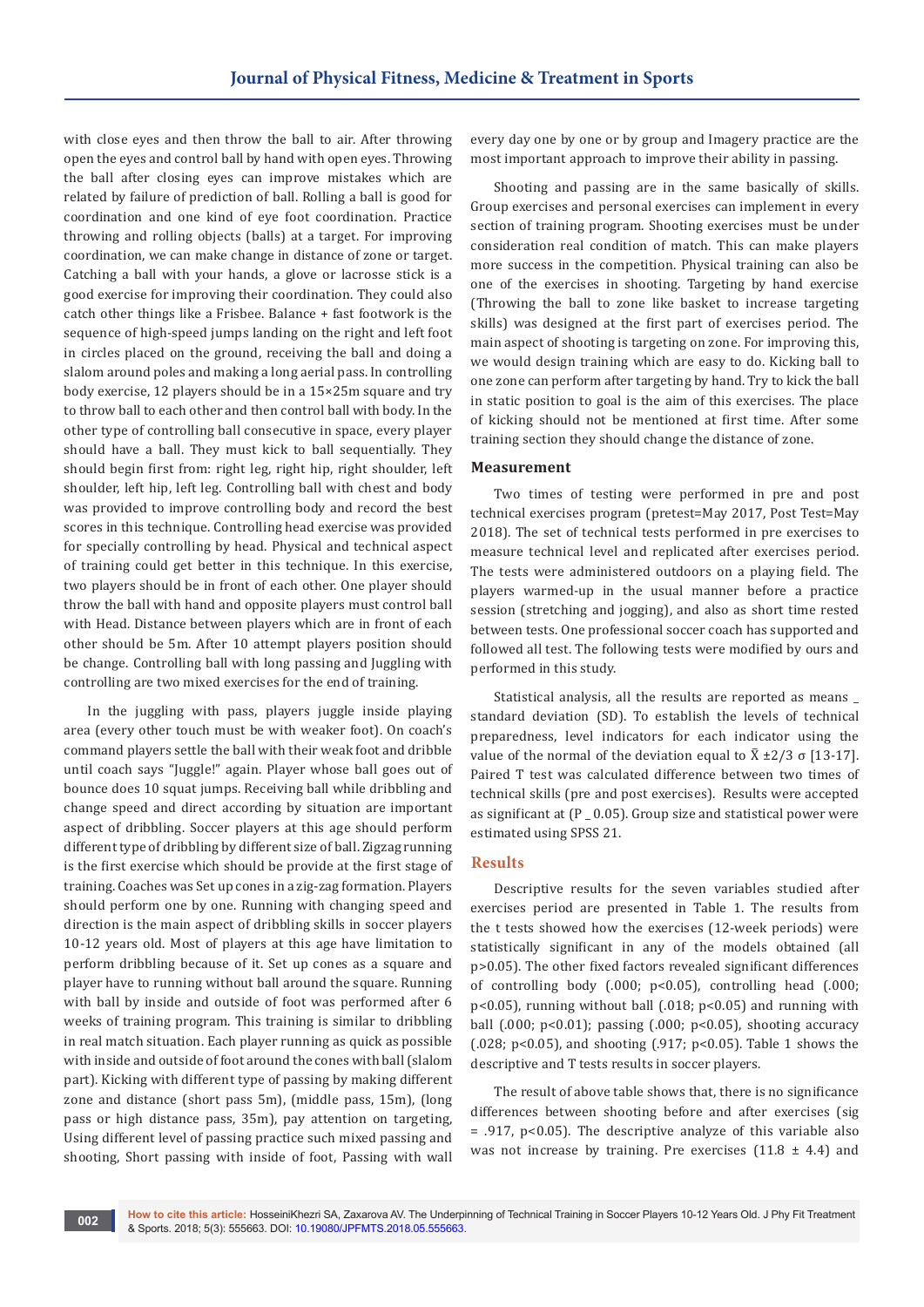with close eyes and then throw the ball to air. After throwing open the eyes and control ball by hand with open eyes. Throwing the ball after closing eyes can improve mistakes which are related by failure of prediction of ball. Rolling a ball is good for coordination and one kind of eye foot coordination. Practice throwing and rolling objects (balls) at a target. For improving coordination, we can make change in distance of zone or target. Catching a ball with your hands, a glove or lacrosse stick is a good exercise for improving their coordination. They could also catch other things like a Frisbee. Balance + fast footwork is the sequence of high-speed jumps landing on the right and left foot in circles placed on the ground, receiving the ball and doing a slalom around poles and making a long aerial pass. In controlling body exercise, 12 players should be in a 15×25m square and try to throw ball to each other and then control ball with body. In the other type of controlling ball consecutive in space, every player should have a ball. They must kick to ball sequentially. They should begin first from: right leg, right hip, right shoulder, left shoulder, left hip, left leg. Controlling ball with chest and body was provided to improve controlling body and record the best scores in this technique. Controlling head exercise was provided for specially controlling by head. Physical and technical aspect of training could get better in this technique. In this exercise, two players should be in front of each other. One player should throw the ball with hand and opposite players must control ball with Head. Distance between players which are in front of each other should be 5m. After 10 attempt players position should be change. Controlling ball with long passing and Juggling with controlling are two mixed exercises for the end of training.

In the juggling with pass, players juggle inside playing area (every other touch must be with weaker foot). On coach's command players settle the ball with their weak foot and dribble until coach says "Juggle!" again. Player whose ball goes out of bounce does 10 squat jumps. Receiving ball while dribbling and change speed and direct according by situation are important aspect of dribbling. Soccer players at this age should perform different type of dribbling by different size of ball. Zigzag running is the first exercise which should be provide at the first stage of training. Coaches was Set up cones in a zig-zag formation. Players should perform one by one. Running with changing speed and direction is the main aspect of dribbling skills in soccer players 10-12 years old. Most of players at this age have limitation to perform dribbling because of it. Set up cones as a square and player have to running without ball around the square. Running with ball by inside and outside of foot was performed after 6 weeks of training program. This training is similar to dribbling in real match situation. Each player running as quick as possible with inside and outside of foot around the cones with ball (slalom part). Kicking with different type of passing by making different zone and distance (short pass 5m), (middle pass, 15m), (long pass or high distance pass, 35m), pay attention on targeting, Using different level of passing practice such mixed passing and shooting, Short passing with inside of foot, Passing with wall

every day one by one or by group and Imagery practice are the most important approach to improve their ability in passing.

Shooting and passing are in the same basically of skills. Group exercises and personal exercises can implement in every section of training program. Shooting exercises must be under consideration real condition of match. This can make players more success in the competition. Physical training can also be one of the exercises in shooting. Targeting by hand exercise (Throwing the ball to zone like basket to increase targeting skills) was designed at the first part of exercises period. The main aspect of shooting is targeting on zone. For improving this, we would design training which are easy to do. Kicking ball to one zone can perform after targeting by hand. Try to kick the ball in static position to goal is the aim of this exercises. The place of kicking should not be mentioned at first time. After some training section they should change the distance of zone.

## **Measurement**

Two times of testing were performed in pre and post technical exercises program (pretest=May 2017, Post Test=May 2018). The set of technical tests performed in pre exercises to measure technical level and replicated after exercises period. The tests were administered outdoors on a playing field. The players warmed-up in the usual manner before a practice session (stretching and jogging), and also as short time rested between tests. One professional soccer coach has supported and followed all test. The following tests were modified by ours and performed in this study.

Statistical analysis, all the results are reported as means \_ standard deviation (SD). To establish the levels of technical preparedness, level indicators for each indicator using the value of the normal of the deviation equal to  $\bar{X} \pm 2/3 \sigma$  [13-17]. Paired T test was calculated difference between two times of technical skills (pre and post exercises). Results were accepted as significant at (P \_ 0.05). Group size and statistical power were estimated using SPSS 21.

## **Results**

Descriptive results for the seven variables studied after exercises period are presented in Table 1. The results from the t tests showed how the exercises (12-week periods) were statistically significant in any of the models obtained (all p>0.05). The other fixed factors revealed significant differences of controlling body (.000; p<0.05), controlling head (.000; p<0.05), running without ball (.018; p<0.05) and running with ball (.000; p<0.01); passing (.000; p<0.05), shooting accuracy (.028; p<0.05), and shooting (.917; p<0.05). Table 1 shows the descriptive and T tests results in soccer players.

The result of above table shows that, there is no significance differences between shooting before and after exercises (sig = .917, p<0.05). The descriptive analyze of this variable also was not increase by training. Pre exercises  $(11.8 \pm 4.4)$  and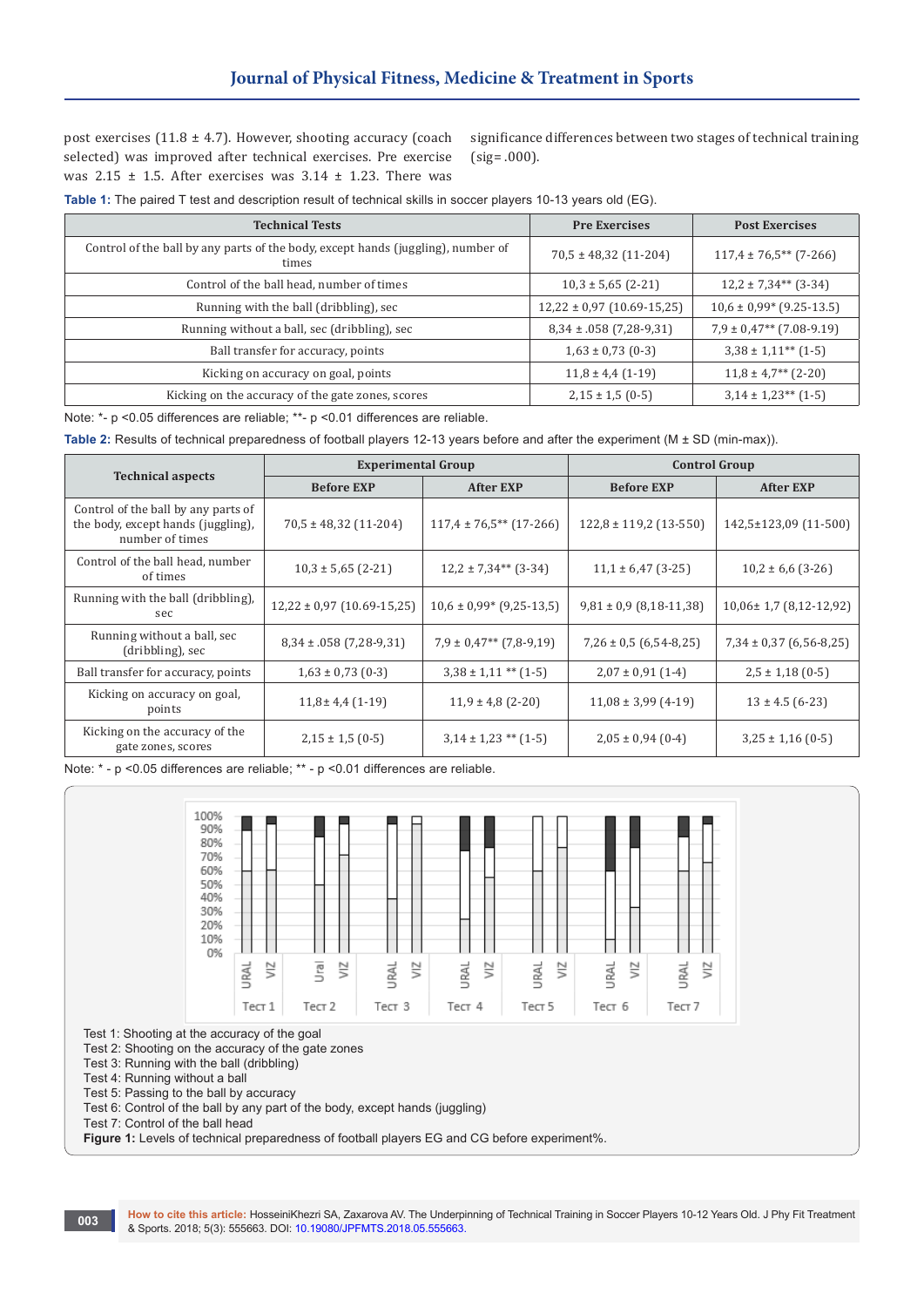post exercises (11.8  $\pm$  4.7). However, shooting accuracy (coach selected) was improved after technical exercises. Pre exercise was  $2.15 \pm 1.5$ . After exercises was  $3.14 \pm 1.23$ . There was

significance differences between two stages of technical training (sig= .000).

**Table 1:** The paired T test and description result of technical skills in soccer players 10-13 years old (EG).

| <b>Technical Tests</b>                                                                    | <b>Pre Exercises</b>           | <b>Post Exercises</b>                  |
|-------------------------------------------------------------------------------------------|--------------------------------|----------------------------------------|
| Control of the ball by any parts of the body, except hands (juggling), number of<br>times | $70,5 \pm 48,32(11-204)$       | $117,4 \pm 76,5$ <sup>**</sup> (7-266) |
| Control of the ball head, number of times                                                 | $10,3 \pm 5,65$ (2-21)         | $12,2 \pm 7,34**$ (3-34)               |
| Running with the ball (dribbling), sec                                                    | $12,22 \pm 0.97$ (10.69-15,25) | $10,6 \pm 0.99$ (9.25-13.5)            |
| Running without a ball, sec (dribbling), sec                                              | $8,34 \pm .058$ (7,28-9,31)    | $7,9 \pm 0.47**$ (7.08-9.19)           |
| Ball transfer for accuracy, points                                                        | $1,63 \pm 0,73$ (0-3)          | $3,38 \pm 1,11^{**}$ (1-5)             |
| Kicking on accuracy on goal, points                                                       | $11,8 \pm 4,4(1-19)$           | $11,8 \pm 4,7^{**}$ (2-20)             |
| Kicking on the accuracy of the gate zones, scores                                         | $2,15 \pm 1,5(0-5)$            | $3,14 \pm 1,23**$ (1-5)                |

Note: \*- p <0.05 differences are reliable; \*\*- p <0.01 differences are reliable.

**Table 2:** Results of technical preparedness of football players 12-13 years before and after the experiment (M ± SD (min-max)).

|                                                                                              | <b>Experimental Group</b>      |                                 | <b>Control Group</b>        |                              |
|----------------------------------------------------------------------------------------------|--------------------------------|---------------------------------|-----------------------------|------------------------------|
| <b>Technical aspects</b>                                                                     | <b>Before EXP</b>              | <b>After EXP</b>                | <b>Before EXP</b>           | <b>After EXP</b>             |
| Control of the ball by any parts of<br>the body, except hands (juggling),<br>number of times | $70,5 \pm 48,32(11-204)$       | $117,4 \pm 76,5**$ (17-266)     | $122,8 \pm 119,2(13-550)$   | 142,5±123,09 (11-500)        |
| Control of the ball head, number<br>of times                                                 | $10,3 \pm 5,65$ (2-21)         | $12,2 \pm 7,34**$ (3-34)        | $11,1 \pm 6,47$ (3-25)      | $10,2 \pm 6,6$ (3-26)        |
| Running with the ball (dribbling),<br>sec                                                    | $12,22 \pm 0.97$ (10.69-15,25) | $10,6 \pm 0.99$ * $(9,25-13,5)$ | $9,81 \pm 0.9$ (8,18-11,38) | $10,06 \pm 1,7$ (8,12-12,92) |
| Running without a ball, sec<br>(dribbling), sec                                              | $8,34 \pm .058$ (7,28-9,31)    | $7,9 \pm 0,47**$ (7,8-9,19)     | $7,26 \pm 0.5$ (6.54-8.25)  | $7,34 \pm 0,37$ (6,56-8,25)  |
| Ball transfer for accuracy, points                                                           | $1,63 \pm 0,73$ (0-3)          | $3,38 \pm 1,11$ ** $(1-5)$      | $2,07 \pm 0,91$ (1-4)       | $2,5 \pm 1,18$ (0-5)         |
| Kicking on accuracy on goal,<br>points                                                       | $11,8 \pm 4,4(1-19)$           | $11,9 \pm 4,8$ (2-20)           | $11,08 \pm 3,99$ (4-19)     | $13 \pm 4.5$ (6-23)          |
| Kicking on the accuracy of the<br>gate zones, scores                                         | $2,15 \pm 1,5(0-5)$            | $3,14 \pm 1,23$ ** $(1-5)$      | $2,05 \pm 0,94$ (0-4)       | $3,25 \pm 1,16$ (0-5)        |

Note: \* - p <0.05 differences are reliable; \*\* - p <0.01 differences are reliable.



Test 1: Shooting at the accuracy of the goal

Тest 2: Shooting on the accuracy of the gate zones

Тest 3: Running with the ball (dribbling)

Тest 4: Running without a ball

Тest 5: Passing to the ball by accuracy

Тest 6: Control of the ball by any part of the body, except hands (juggling)

Тest 7: Control of the ball head

**Figure 1:** Levels of technical preparedness of football players EG and CG before experiment%.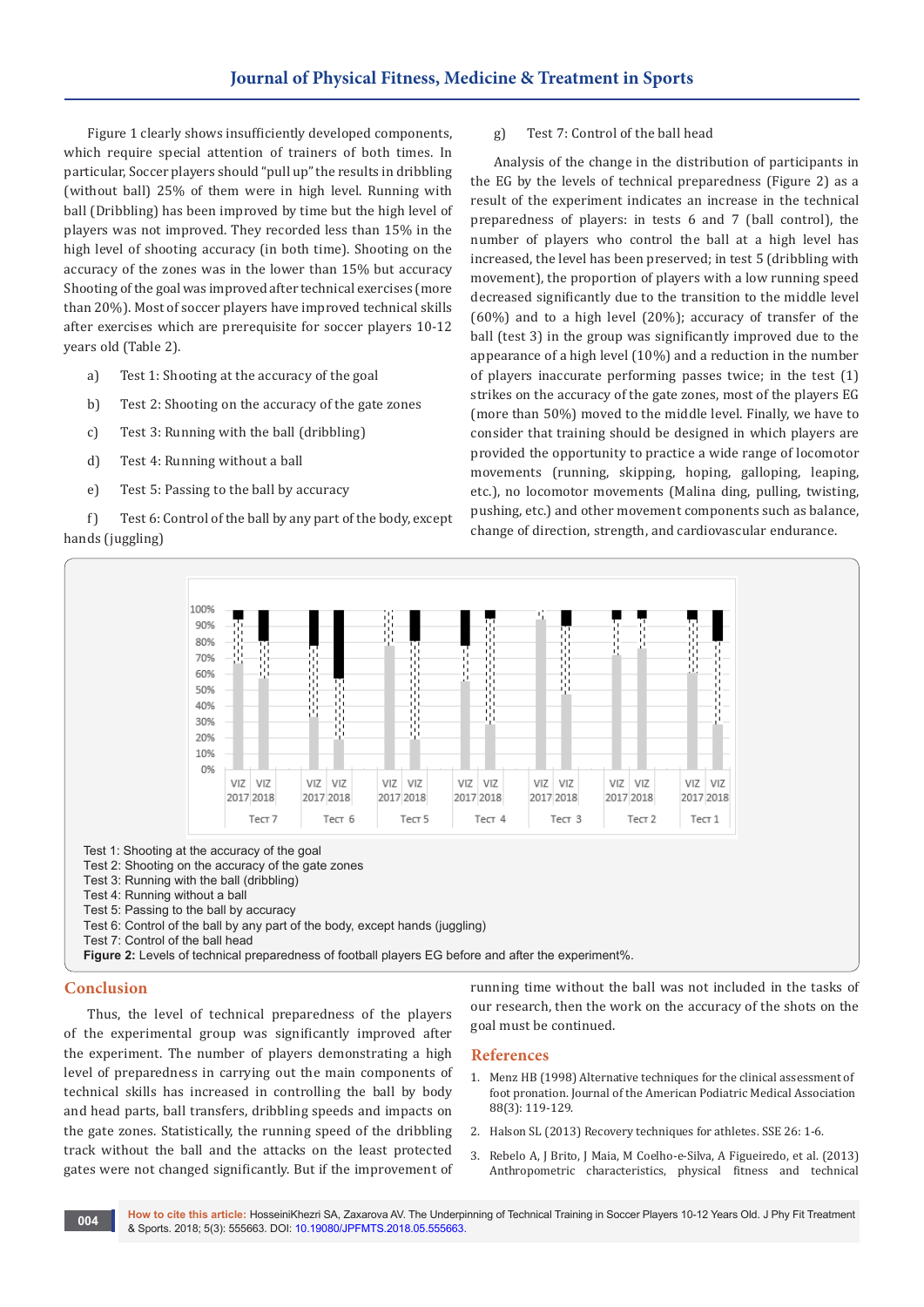Figure 1 clearly shows insufficiently developed components, which require special attention of trainers of both times. In particular, Soccer players should "pull up" the results in dribbling (without ball) 25% of them were in high level. Running with ball (Dribbling) has been improved by time but the high level of players was not improved. They recorded less than 15% in the high level of shooting accuracy (in both time). Shooting on the accuracy of the zones was in the lower than 15% but accuracy Shooting of the goal was improved after technical exercises (more than 20%). Most of soccer players have improved technical skills after exercises which are prerequisite for soccer players 10-12 years old (Table 2).

- a) Test 1: Shooting at the accuracy of the goal
- b) Test 2: Shooting on the accuracy of the gate zones
- c) Тest 3: Running with the ball (dribbling)
- d) Тest 4: Running without a ball
- e) Тest 5: Passing to the ball by accuracy

f) Тest 6: Control of the ball by any part of the body, except hands (juggling)

## g) Тest 7: Control of the ball head

Analysis of the change in the distribution of participants in the EG by the levels of technical preparedness (Figure 2) as a result of the experiment indicates an increase in the technical preparedness of players: in tests 6 and 7 (ball control), the number of players who control the ball at a high level has increased, the level has been preserved; in test 5 (dribbling with movement), the proportion of players with a low running speed decreased significantly due to the transition to the middle level (60%) and to a high level (20%); accuracy of transfer of the ball (test 3) in the group was significantly improved due to the appearance of a high level (10%) and a reduction in the number of players inaccurate performing passes twice; in the test (1) strikes on the accuracy of the gate zones, most of the players EG (more than 50%) moved to the middle level. Finally, we have to consider that training should be designed in which players are provided the opportunity to practice a wide range of locomotor movements (running, skipping, hoping, galloping, leaping, etc.), no locomotor movements (Malina ding, pulling, twisting, pushing, etc.) and other movement components such as balance, change of direction, strength, and cardiovascular endurance.



#### **Conclusion**

Thus, the level of technical preparedness of the players of the experimental group was significantly improved after the experiment. The number of players demonstrating a high level of preparedness in carrying out the main components of technical skills has increased in controlling the ball by body and head parts, ball transfers, dribbling speeds and impacts on the gate zones. Statistically, the running speed of the dribbling track without the ball and the attacks on the least protected gates were not changed significantly. But if the improvement of running time without the ball was not included in the tasks of our research, then the work on the accuracy of the shots on the goal must be continued.

#### **References**

- 1. [Menz HB \(1998\) Alternative techniques for the clinical assessment of](https://www.ncbi.nlm.nih.gov/pubmed/9542353)  [foot pronation. Journal of the American Podiatric Medical Association](https://www.ncbi.nlm.nih.gov/pubmed/9542353)  [88\(3\): 119-129.](https://www.ncbi.nlm.nih.gov/pubmed/9542353)
- 2. [Halson SL \(2013\) Recovery techniques for athletes. SSE 26: 1-6.](https://www.gssiweb.org/sports-science-exchange/article/sse-120-recovery-techniques-for-athletes)
- 3. [Rebelo A, J Brito, J Maia, M Coelho-e-Silva, A Figueiredo, et al. \(2013\)](https://www.ncbi.nlm.nih.gov/pubmed/23059558)  [Anthropometric characteristics, physical fitness and technical](https://www.ncbi.nlm.nih.gov/pubmed/23059558)